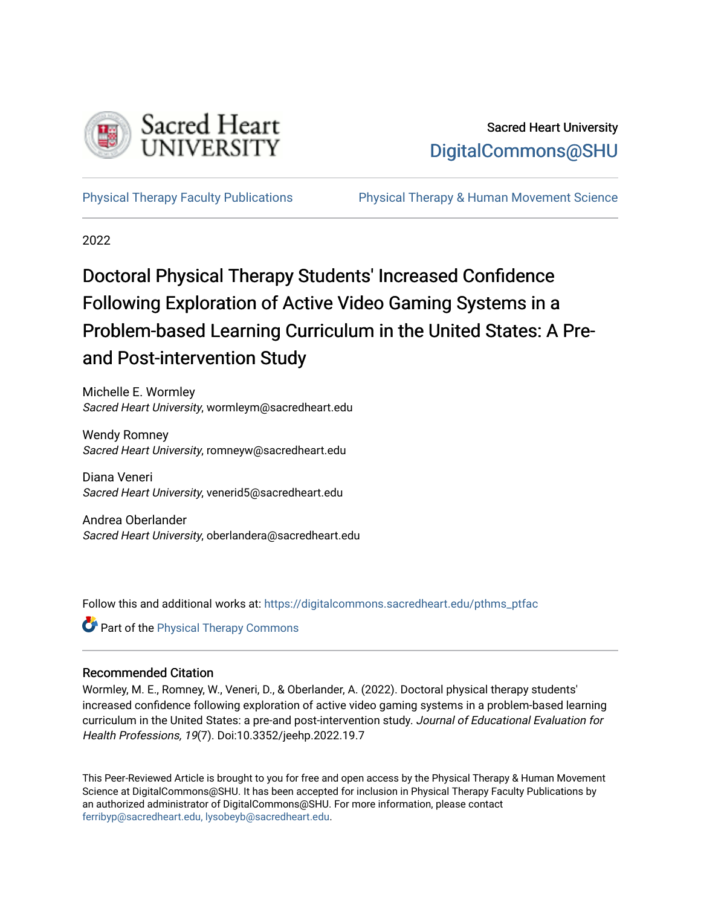

# Sacred Heart University [DigitalCommons@SHU](https://digitalcommons.sacredheart.edu/)

[Physical Therapy Faculty Publications](https://digitalcommons.sacredheart.edu/pthms_ptfac) [Physical Therapy & Human Movement Science](https://digitalcommons.sacredheart.edu/pthms) 

2022

# Doctoral Physical Therapy Students' Increased Confidence Following Exploration of Active Video Gaming Systems in a Problem-based Learning Curriculum in the United States: A Preand Post-intervention Study

Michelle E. Wormley Sacred Heart University, wormleym@sacredheart.edu

Wendy Romney Sacred Heart University, romneyw@sacredheart.edu

Diana Veneri Sacred Heart University, venerid5@sacredheart.edu

Andrea Oberlander Sacred Heart University, oberlandera@sacredheart.edu

Follow this and additional works at: [https://digitalcommons.sacredheart.edu/pthms\\_ptfac](https://digitalcommons.sacredheart.edu/pthms_ptfac?utm_source=digitalcommons.sacredheart.edu%2Fpthms_ptfac%2F66&utm_medium=PDF&utm_campaign=PDFCoverPages)

**Part of the [Physical Therapy Commons](http://network.bepress.com/hgg/discipline/754?utm_source=digitalcommons.sacredheart.edu%2Fpthms_ptfac%2F66&utm_medium=PDF&utm_campaign=PDFCoverPages)** 

# Recommended Citation

Wormley, M. E., Romney, W., Veneri, D., & Oberlander, A. (2022). Doctoral physical therapy students' increased confidence following exploration of active video gaming systems in a problem-based learning curriculum in the United States: a pre-and post-intervention study. Journal of Educational Evaluation for Health Professions, 19(7). Doi:10.3352/jeehp.2022.19.7

This Peer-Reviewed Article is brought to you for free and open access by the Physical Therapy & Human Movement Science at DigitalCommons@SHU. It has been accepted for inclusion in Physical Therapy Faculty Publications by an authorized administrator of DigitalCommons@SHU. For more information, please contact [ferribyp@sacredheart.edu, lysobeyb@sacredheart.edu.](mailto:ferribyp@sacredheart.edu,%20lysobeyb@sacredheart.edu)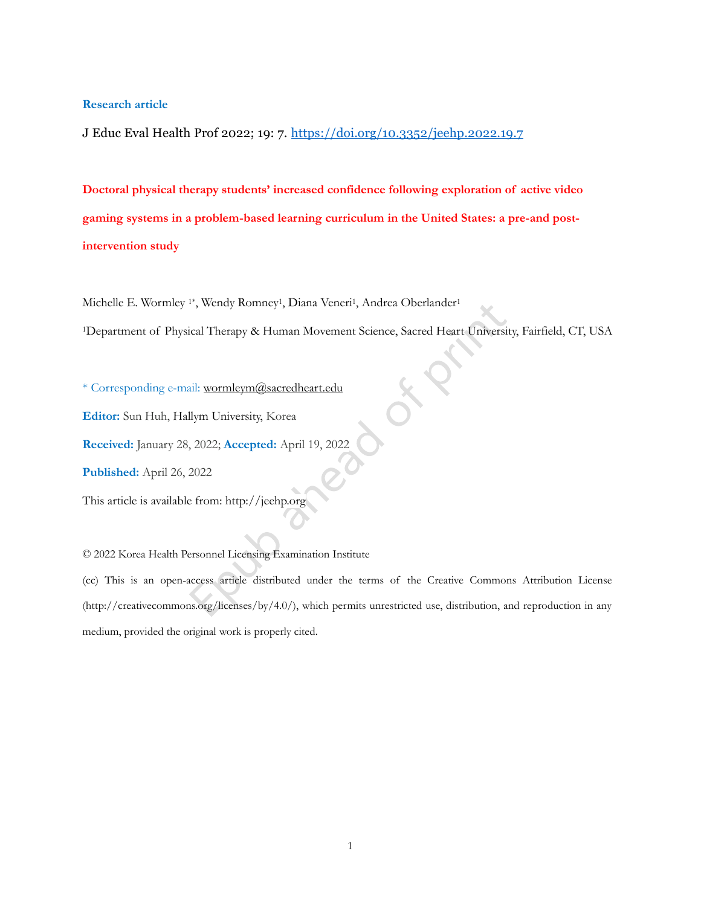#### **Research article**

J Educ Eval Health Prof 2022; 19: 7. <https://doi.org/10.3352/jeehp.2022.19.7>

**Doctoral physical therapy students' increased confidence following exploration of active video gaming systems in a problem-based learning curriculum in the United States: a pre-and postintervention study**

Michelle E. Wormley<sup>1\*</sup>, Wendy Romney<sup>1</sup>, Diana Veneri<sup>1</sup>, Andrea Oberlander<sup>1</sup>

<sup>1</sup>Department of Physical Therapy & Human Movement Science, Sacred Heart University, Fairfield, CT, USA

\* Corresponding e-mail[: wormleym@sacredheart.edu](mailto:wormleym@sacredheart.edu)

**Editor:** Sun Huh, Hallym University, Korea

**Received:** January 28, 2022; **Accepted:** April 19, 2022

**Published:** April 26, 2022

This article is available from: http://jeehp.org

© 2022 Korea Health Personnel Licensing Examination Institute

(cc) This is an open-access article distributed under the terms of the Creative Commons Attribution License (http://creativecommons.org/licenses/by/4.0/), which permits unrestricted use, distribution, and reproduction in any medium, provided the original work is properly cited.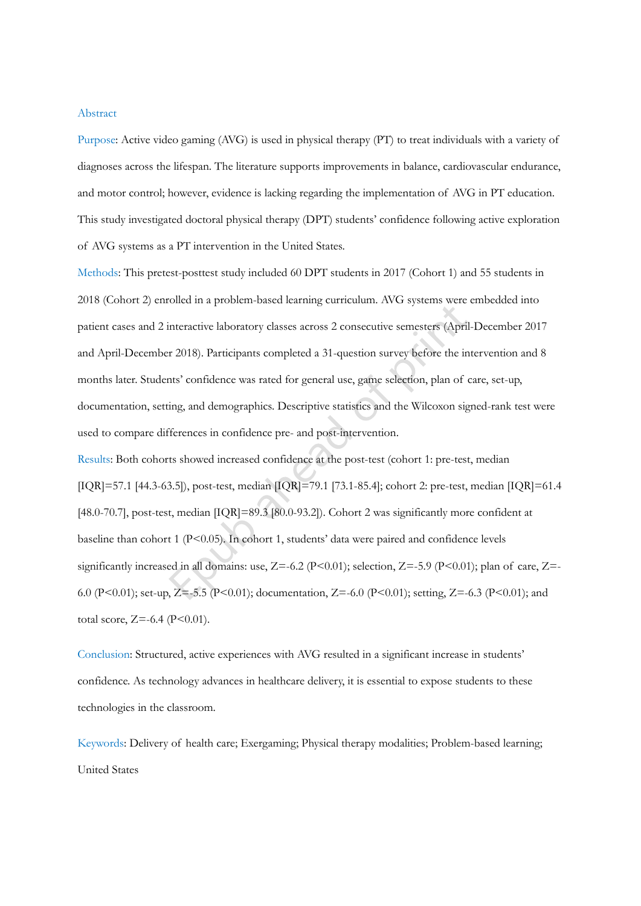#### Abstract

Purpose: Active video gaming (AVG) is used in physical therapy (PT) to treat individuals with a variety of diagnoses across the lifespan. The literature supports improvements in balance, cardiovascular endurance, and motor control; however, evidence is lacking regarding the implementation of AVG in PT education. This study investigated doctoral physical therapy (DPT) students' confidence following active exploration of AVG systems as a PT intervention in the United States.

Methods: This pretest-posttest study included 60 DPT students in 2017 (Cohort 1) and 55 students in 2018 (Cohort 2) enrolled in a problem-based learning curriculum. AVG systems were embedded into patient cases and 2 interactive laboratory classes across 2 consecutive semesters (April-December 2017 and April-December 2018). Participants completed a 31-question survey before the intervention and 8 months later. Students' confidence was rated for general use, game selection, plan of care, set-up, documentation, setting, and demographics. Descriptive statistics and the Wilcoxon signed-rank test were used to compare differences in confidence pre- and post-intervention.

Results: Both cohorts showed increased confidence at the post-test (cohort 1: pre-test, median [IQR]=57.1 [44.3-63.5]), post-test, median [IQR]=79.1 [73.1-85.4]; cohort 2: pre-test, median [IQR]=61.4 [48.0-70.7], post-test, median [IQR]=89.3 [80.0-93.2]). Cohort 2 was significantly more confident at baseline than cohort 1 (P<0.05). In cohort 1, students' data were paired and confidence levels significantly increased in all domains: use,  $Z=-6.2$  (P<0.01); selection,  $Z=-5.9$  (P<0.01); plan of care,  $Z=-$ 6.0 (P<0.01); set-up, Z=-5.5 (P<0.01); documentation, Z=-6.0 (P<0.01); setting, Z=-6.3 (P<0.01); and total score,  $Z = -6.4$  (P<0.01).

Conclusion: Structured, active experiences with AVG resulted in a significant increase in students' confidence. As technology advances in healthcare delivery, it is essential to expose students to these technologies in the classroom.

Keywords: Delivery of health care; Exergaming; Physical therapy modalities; Problem-based learning; United States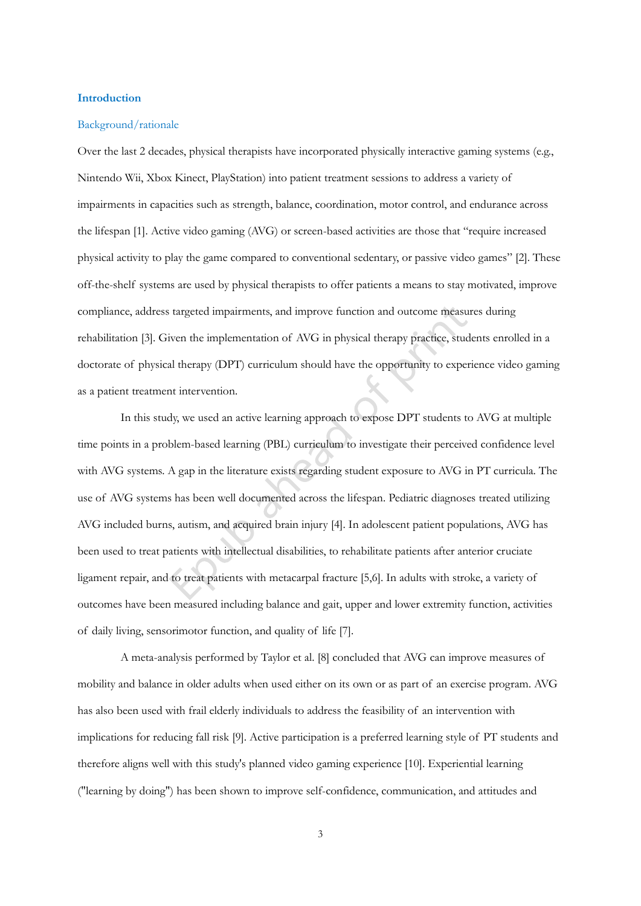# **Introduction**

#### Background/rationale

Over the last 2 decades, physical therapists have incorporated physically interactive gaming systems (e.g., Nintendo Wii, Xbox Kinect, PlayStation) into patient treatment sessions to address a variety of impairments in capacities such as strength, balance, coordination, motor control, and endurance across the lifespan [1]. Active video gaming (AVG) or screen-based activities are those that "require increased physical activity to play the game compared to conventional sedentary, or passive video games" [2]. These off-the-shelf systems are used by physical therapists to offer patients a means to stay motivated, improve compliance, address targeted impairments, and improve function and outcome measures during rehabilitation [3]. Given the implementation of AVG in physical therapy practice, students enrolled in a doctorate of physical therapy (DPT) curriculum should have the opportunity to experience video gaming as a patient treatment intervention.

In this study, we used an active learning approach to expose DPT students to AVG at multiple time points in a problem-based learning (PBL) curriculum to investigate their perceived confidence level with AVG systems. A gap in the literature exists regarding student exposure to AVG in PT curricula. The use of AVG systems has been well documented across the lifespan. Pediatric diagnoses treated utilizing AVG included burns, autism, and acquired brain injury [4]. In adolescent patient populations, AVG has been used to treat patients with intellectual disabilities, to rehabilitate patients after anterior cruciate ligament repair, and to treat patients with metacarpal fracture [5,6]. In adults with stroke, a variety of outcomes have been measured including balance and gait, upper and lower extremity function, activities of daily living, sensorimotor function, and quality of life [7].

A meta-analysis performed by Taylor et al. [8] concluded that AVG can improve measures of mobility and balance in older adults when used either on its own or as part of an exercise program. AVG has also been used with frail elderly individuals to address the feasibility of an intervention with implications for reducing fall risk [9]. Active participation is a preferred learning style of PT students and therefore aligns well with this study's planned video gaming experience [10]. Experiential learning ("learning by doing") has been shown to improve self-confidence, communication, and attitudes and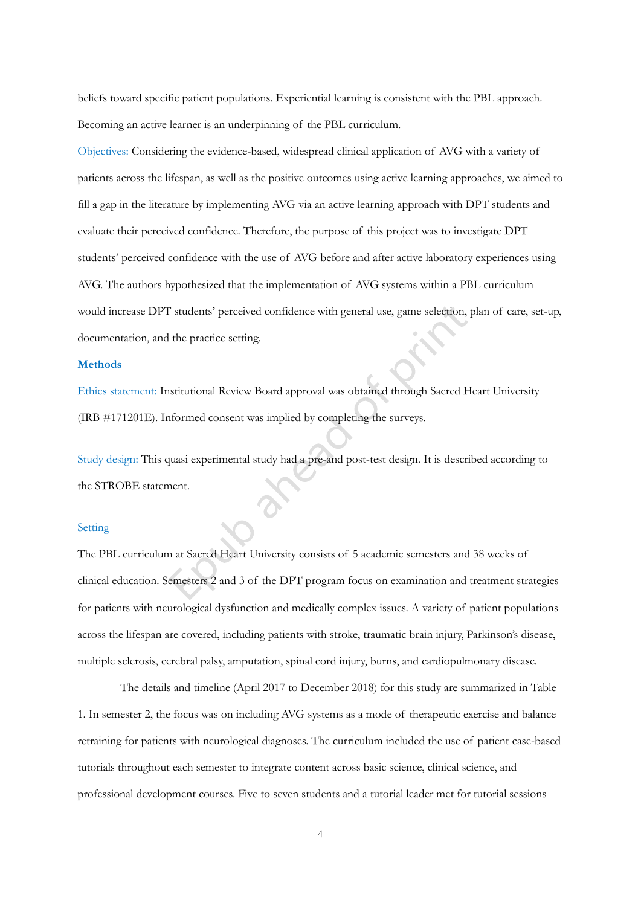beliefs toward specific patient populations. Experiential learning is consistent with the PBL approach. Becoming an active learner is an underpinning of the PBL curriculum.

Objectives: Considering the evidence-based, widespread clinical application of AVG with a variety of patients across the lifespan, as well as the positive outcomes using active learning approaches, we aimed to fill a gap in the literature by implementing AVG via an active learning approach with DPT students and evaluate their perceived confidence. Therefore, the purpose of this project was to investigate DPT students' perceived confidence with the use of AVG before and after active laboratory experiences using AVG. The authors hypothesized that the implementation of AVG systems within a PBL curriculum would increase DPT students' perceived confidence with general use, game selection, plan of care, set-up, documentation, and the practice setting.

# **Methods**

Ethics statement: Institutional Review Board approval was obtained through Sacred Heart University (IRB #171201E). Informed consent was implied by completing the surveys.

Study design: This quasi experimental study had a pre-and post-test design. It is described according to the STROBE statement.

#### Setting

The PBL curriculum at Sacred Heart University consists of 5 academic semesters and 38 weeks of clinical education. Semesters 2 and 3 of the DPT program focus on examination and treatment strategies for patients with neurological dysfunction and medically complex issues. A variety of patient populations across the lifespan are covered, including patients with stroke, traumatic brain injury, Parkinson's disease, multiple sclerosis, cerebral palsy, amputation, spinal cord injury, burns, and cardiopulmonary disease.

The details and timeline (April 2017 to December 2018) for this study are summarized in Table 1. In semester 2, the focus was on including AVG systems as a mode of therapeutic exercise and balance retraining for patients with neurological diagnoses. The curriculum included the use of patient case-based tutorials throughout each semester to integrate content across basic science, clinical science, and professional development courses. Five to seven students and a tutorial leader met for tutorial sessions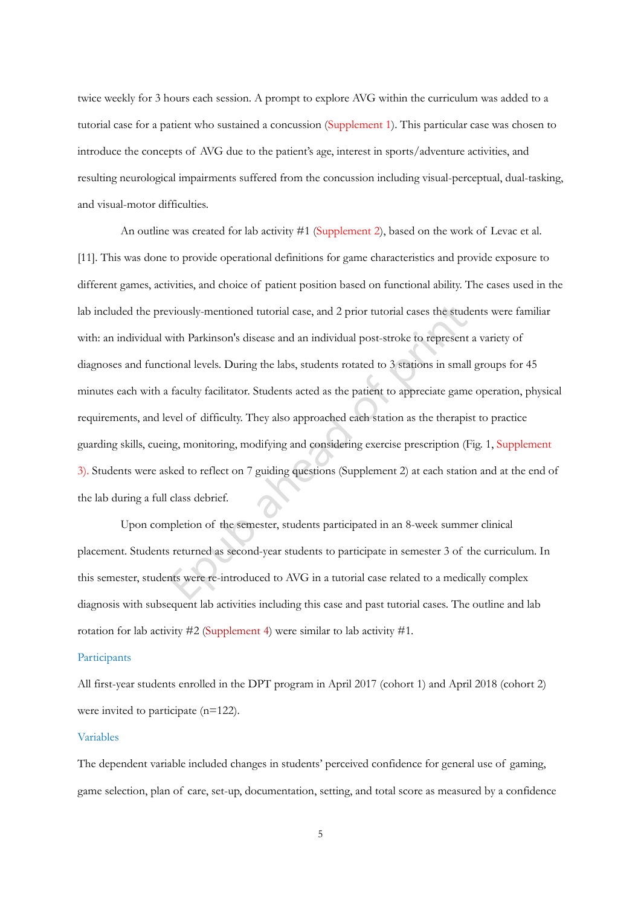twice weekly for 3 hours each session. A prompt to explore AVG within the curriculum was added to a tutorial case for a patient who sustained a concussion (Supplement 1). This particular case was chosen to introduce the concepts of AVG due to the patient's age, interest in sports/adventure activities, and resulting neurological impairments suffered from the concussion including visual-perceptual, dual-tasking, and visual-motor difficulties.

An outline was created for lab activity #1 (Supplement 2), based on the work of Levac et al. [11]. This was done to provide operational definitions for game characteristics and provide exposure to different games, activities, and choice of patient position based on functional ability. The cases used in the lab included the previously-mentioned tutorial case, and 2 prior tutorial cases the students were familiar with: an individual with Parkinson's disease and an individual post-stroke to represent a variety of diagnoses and functional levels. During the labs, students rotated to 3 stations in small groups for 45 minutes each with a faculty facilitator. Students acted as the patient to appreciate game operation, physical requirements, and level of difficulty. They also approached each station as the therapist to practice guarding skills, cueing, monitoring, modifying and considering exercise prescription (Fig. 1, Supplement 3). Students were asked to reflect on 7 guiding questions (Supplement 2) at each station and at the end of the lab during a full class debrief.

Upon completion of the semester, students participated in an 8-week summer clinical placement. Students returned as second-year students to participate in semester 3 of the curriculum. In this semester, students were re-introduced to AVG in a tutorial case related to a medically complex diagnosis with subsequent lab activities including this case and past tutorial cases. The outline and lab rotation for lab activity #2 (Supplement 4) were similar to lab activity #1.

#### Participants

All first-year students enrolled in the DPT program in April 2017 (cohort 1) and April 2018 (cohort 2) were invited to participate (n=122).

#### Variables

The dependent variable included changes in students' perceived confidence for general use of gaming, game selection, plan of care, set-up, documentation, setting, and total score as measured by a confidence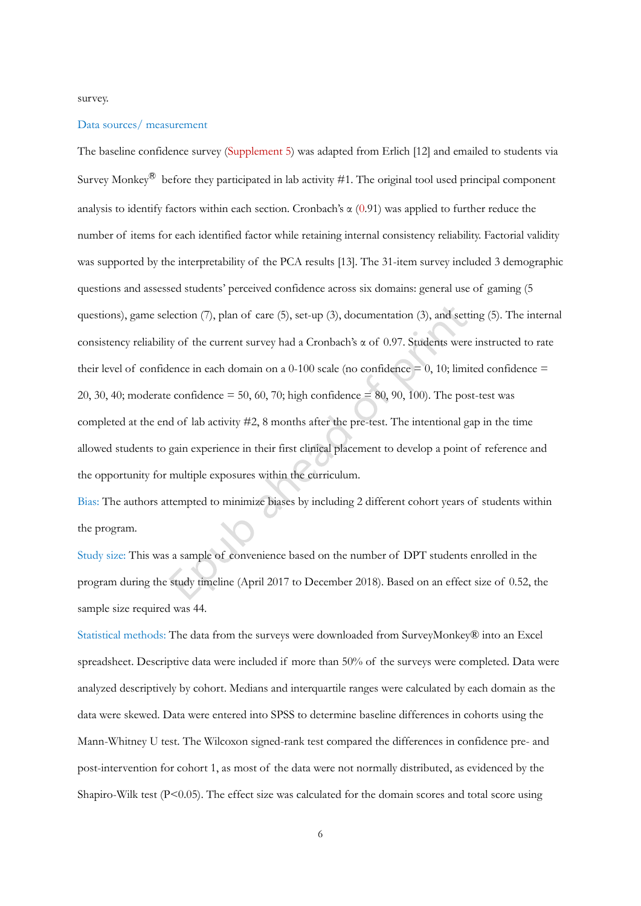survey.

# Data sources/ measurement

The baseline confidence survey (Supplement 5) was adapted from Erlich [12] and emailed to students via Survey Monkey<sup>®</sup> before they participated in lab activity #1. The original tool used principal component analysis to identify factors within each section. Cronbach's α (0.91) was applied to further reduce the number of items for each identified factor while retaining internal consistency reliability. Factorial validity was supported by the interpretability of the PCA results [13]. The 31-item survey included 3 demographic questions and assessed students' perceived confidence across six domains: general use of gaming (5 questions), game selection (7), plan of care (5), set-up (3), documentation (3), and setting (5). The internal consistency reliability of the current survey had a Cronbach's α of 0.97. Students were instructed to rate their level of confidence in each domain on a 0-100 scale (no confidence  $= 0, 10$ ; limited confidence  $=$ 20, 30, 40; moderate confidence  $= 50, 60, 70$ ; high confidence  $= 80, 90, 100$ ). The post-test was completed at the end of lab activity #2, 8 months after the pre-test. The intentional gap in the time allowed students to gain experience in their first clinical placement to develop a point of reference and the opportunity for multiple exposures within the curriculum.

Bias: The authors attempted to minimize biases by including 2 different cohort years of students within the program.

Study size: This was a sample of convenience based on the number of DPT students enrolled in the program during the study timeline (April 2017 to December 2018). Based on an effect size of 0.52, the sample size required was 44.

Statistical methods: The data from the surveys were downloaded from SurveyMonkey® into an Excel spreadsheet. Descriptive data were included if more than 50% of the surveys were completed. Data were analyzed descriptively by cohort. Medians and interquartile ranges were calculated by each domain as the data were skewed. Data were entered into SPSS to determine baseline differences in cohorts using the Mann-Whitney U test. The Wilcoxon signed-rank test compared the differences in confidence pre- and post-intervention for cohort 1, as most of the data were not normally distributed, as evidenced by the Shapiro-Wilk test  $(P<0.05)$ . The effect size was calculated for the domain scores and total score using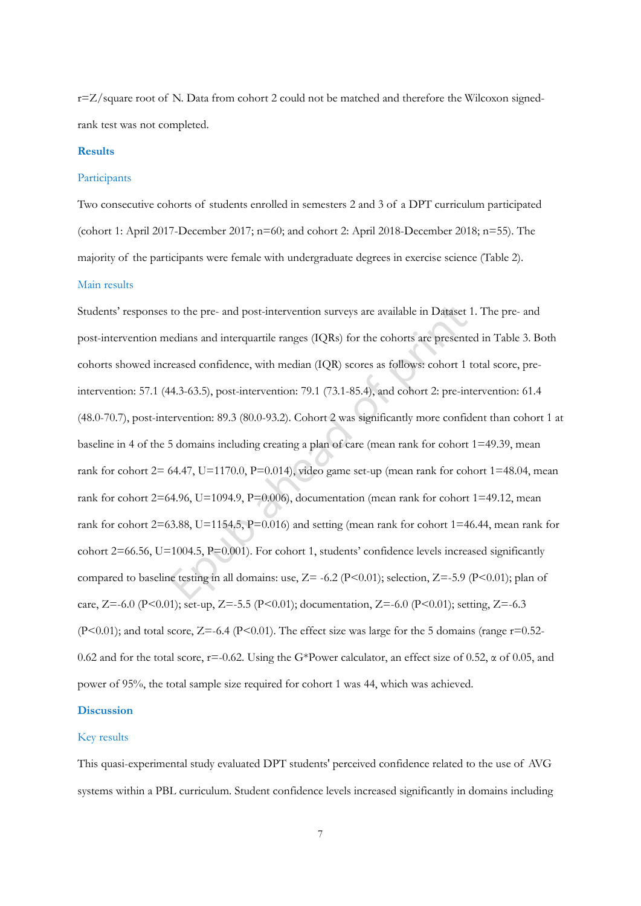r=Z/square root of N. Data from cohort 2 could not be matched and therefore the Wilcoxon signedrank test was not completed.

## **Results**

#### Participants

Two consecutive cohorts of students enrolled in semesters 2 and 3 of a DPT curriculum participated (cohort 1: April 2017-December 2017; n=60; and cohort 2: April 2018-December 2018; n=55). The majority of the participants were female with undergraduate degrees in exercise science (Table 2).

#### Main results

Students' responses to the pre- and post-intervention surveys are available in Dataset 1. The pre- and post-intervention medians and interquartile ranges (IQRs) for the cohorts are presented in Table 3. Both cohorts showed increased confidence, with median (IQR) scores as follows: cohort 1 total score, preintervention: 57.1 (44.3-63.5), post-intervention: 79.1 (73.1-85.4), and cohort 2: pre-intervention: 61.4 (48.0-70.7), post-intervention: 89.3 (80.0-93.2). Cohort 2 was significantly more confident than cohort 1 at baseline in 4 of the 5 domains including creating a plan of care (mean rank for cohort 1=49.39, mean rank for cohort  $2= 64.47$ ,  $U=1170.0$ ,  $P=0.014$ ), video game set-up (mean rank for cohort  $1=48.04$ , mean rank for cohort 2=64.96, U=1094.9, P=0.006), documentation (mean rank for cohort 1=49.12, mean rank for cohort 2=63.88, U=1154.5, P=0.016) and setting (mean rank for cohort 1=46.44, mean rank for cohort 2=66.56, U=1004.5, P=0.001). For cohort 1, students' confidence levels increased significantly compared to baseline testing in all domains: use,  $Z = -6.2$  (P<0.01); selection,  $Z = -5.9$  (P<0.01); plan of care, Z=-6.0 (P<0.01); set-up, Z=-5.5 (P<0.01); documentation, Z=-6.0 (P<0.01); setting, Z=-6.3  $(P<0.01)$ ; and total score,  $Z=-6.4$  (P $<0.01$ ). The effect size was large for the 5 domains (range  $r=0.52$ -0.62 and for the total score,  $r=-0.62$ . Using the G\*Power calculator, an effect size of 0.52,  $\alpha$  of 0.05, and power of 95%, the total sample size required for cohort 1 was 44, which was achieved.

# **Discussion**

# Key results

This quasi-experimental study evaluated DPT students' perceived confidence related to the use of AVG systems within a PBL curriculum. Student confidence levels increased significantly in domains including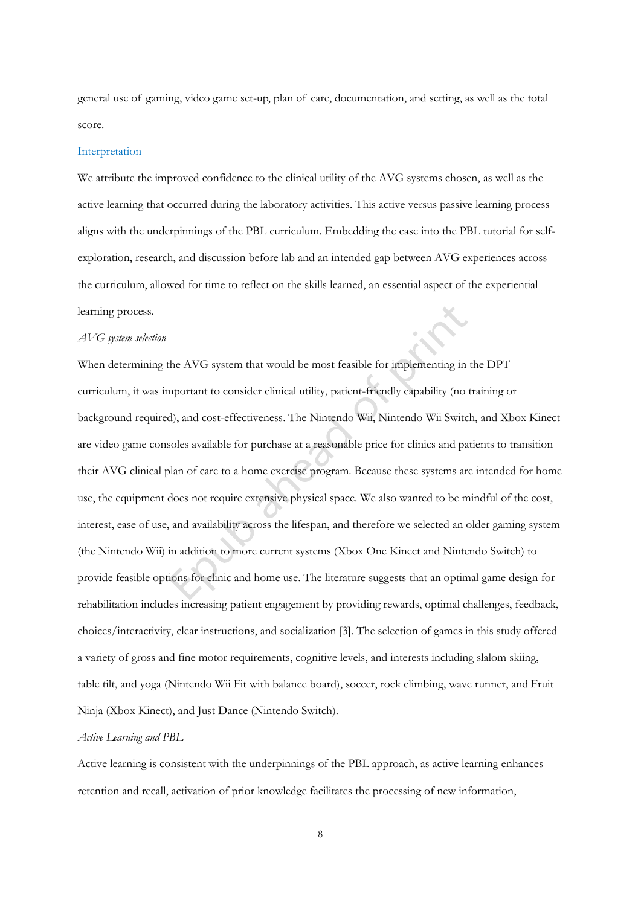general use of gaming, video game set-up, plan of care, documentation, and setting, as well as the total score.

#### Interpretation

We attribute the improved confidence to the clinical utility of the AVG systems chosen, as well as the active learning that occurred during the laboratory activities. This active versus passive learning process aligns with the underpinnings of the PBL curriculum. Embedding the case into the PBL tutorial for selfexploration, research, and discussion before lab and an intended gap between AVG experiences across the curriculum, allowed for time to reflect on the skills learned, an essential aspect of the experiential learning process.

#### *AVG system selection*

When determining the AVG system that would be most feasible for implementing in the DPT curriculum, it was important to consider clinical utility, patient-friendly capability (no training or background required), and cost-effectiveness. The Nintendo Wii, Nintendo Wii Switch, and Xbox Kinect are video game consoles available for purchase at a reasonable price for clinics and patients to transition their AVG clinical plan of care to a home exercise program. Because these systems are intended for home use, the equipment does not require extensive physical space. We also wanted to be mindful of the cost, interest, ease of use, and availability across the lifespan, and therefore we selected an older gaming system (the Nintendo Wii) in addition to more current systems (Xbox One Kinect and Nintendo Switch) to provide feasible options for clinic and home use. The literature suggests that an optimal game design for rehabilitation includes increasing patient engagement by providing rewards, optimal challenges, feedback, choices/interactivity, clear instructions, and socialization [3]. The selection of games in this study offered a variety of gross and fine motor requirements, cognitive levels, and interests including slalom skiing, table tilt, and yoga (Nintendo Wii Fit with balance board), soccer, rock climbing, wave runner, and Fruit Ninja (Xbox Kinect), and Just Dance (Nintendo Switch).

# *Active Learning and PBL*

Active learning is consistent with the underpinnings of the PBL approach, as active learning enhances retention and recall, activation of prior knowledge facilitates the processing of new information,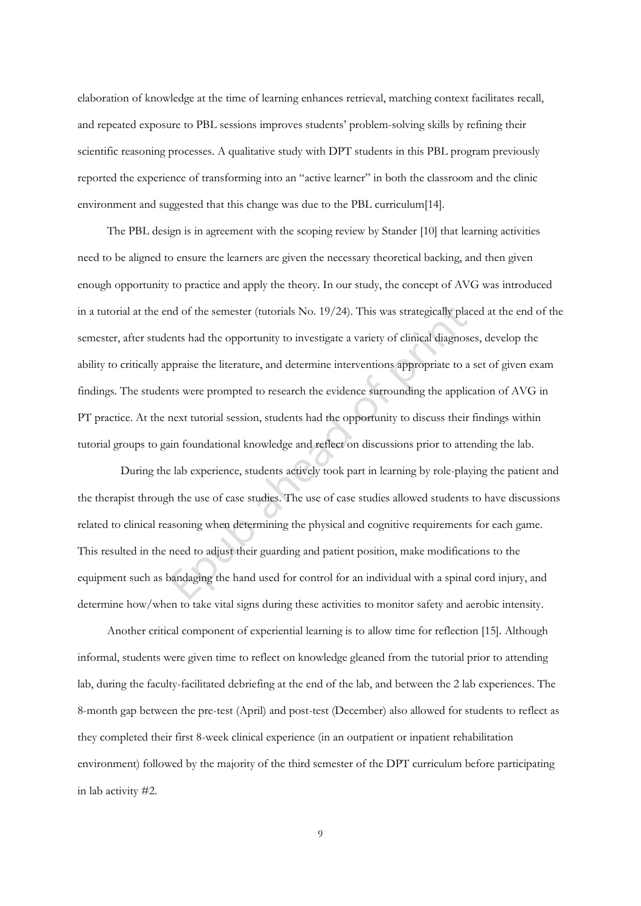elaboration of knowledge at the time of learning enhances retrieval, matching context facilitates recall, and repeated exposure to PBL sessions improves students' problem-solving skills by refining their scientific reasoning processes. A qualitative study with DPT students in this PBL program previously reported the experience of transforming into an "active learner" in both the classroom and the clinic environment and suggested that this change was due to the PBL curriculum[14].

 The PBL design is in agreement with the scoping review by Stander [10] that learning activities need to be aligned to ensure the learners are given the necessary theoretical backing, and then given enough opportunity to practice and apply the theory. In our study, the concept of AVG was introduced in a tutorial at the end of the semester (tutorials No. 19/24). This was strategically placed at the end of the semester, after students had the opportunity to investigate a variety of clinical diagnoses, develop the ability to critically appraise the literature, and determine interventions appropriate to a set of given exam findings. The students were prompted to research the evidence surrounding the application of AVG in PT practice. At the next tutorial session, students had the opportunity to discuss their findings within tutorial groups to gain foundational knowledge and reflect on discussions prior to attending the lab.

During the lab experience, students actively took part in learning by role-playing the patient and the therapist through the use of case studies. The use of case studies allowed students to have discussions related to clinical reasoning when determining the physical and cognitive requirements for each game. This resulted in the need to adjust their guarding and patient position, make modifications to the equipment such as bandaging the hand used for control for an individual with a spinal cord injury, and determine how/when to take vital signs during these activities to monitor safety and aerobic intensity.

 Another critical component of experiential learning is to allow time for reflection [15]. Although informal, students were given time to reflect on knowledge gleaned from the tutorial prior to attending lab, during the faculty-facilitated debriefing at the end of the lab, and between the 2 lab experiences. The 8-month gap between the pre-test (April) and post-test (December) also allowed for students to reflect as they completed their first 8-week clinical experience (in an outpatient or inpatient rehabilitation environment) followed by the majority of the third semester of the DPT curriculum before participating in lab activity #2.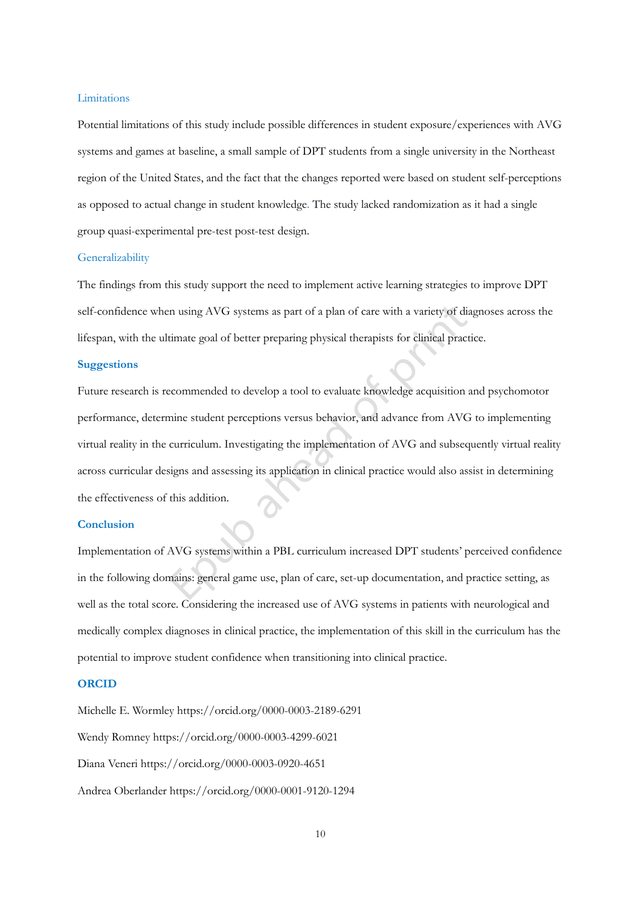#### Limitations

Potential limitations of this study include possible differences in student exposure/experiences with AVG systems and games at baseline, a small sample of DPT students from a single university in the Northeast region of the United States, and the fact that the changes reported were based on student self-perceptions as opposed to actual change in student knowledge. The study lacked randomization as it had a single group quasi-experimental pre-test post-test design.

#### Generalizability

The findings from this study support the need to implement active learning strategies to improve DPT self-confidence when using AVG systems as part of a plan of care with a variety of diagnoses across the lifespan, with the ultimate goal of better preparing physical therapists for clinical practice.

# **Suggestions**

Future research is recommended to develop a tool to evaluate knowledge acquisition and psychomotor performance, determine student perceptions versus behavior, and advance from AVG to implementing virtual reality in the curriculum. Investigating the implementation of AVG and subsequently virtual reality across curricular designs and assessing its application in clinical practice would also assist in determining the effectiveness of this addition.

#### **Conclusion**

Implementation of AVG systems within a PBL curriculum increased DPT students' perceived confidence in the following domains: general game use, plan of care, set-up documentation, and practice setting, as well as the total score. Considering the increased use of AVG systems in patients with neurological and medically complex diagnoses in clinical practice, the implementation of this skill in the curriculum has the potential to improve student confidence when transitioning into clinical practice.

# **ORCID**

Michelle E. Wormley https://orcid.org/0000-0003-2189-6291 Wendy Romney https://orcid.org/0000-0003-4299-6021 Diana Veneri https://orcid.org/0000-0003-0920-4651 Andrea Oberlander https://orcid.org/0000-0001-9120-1294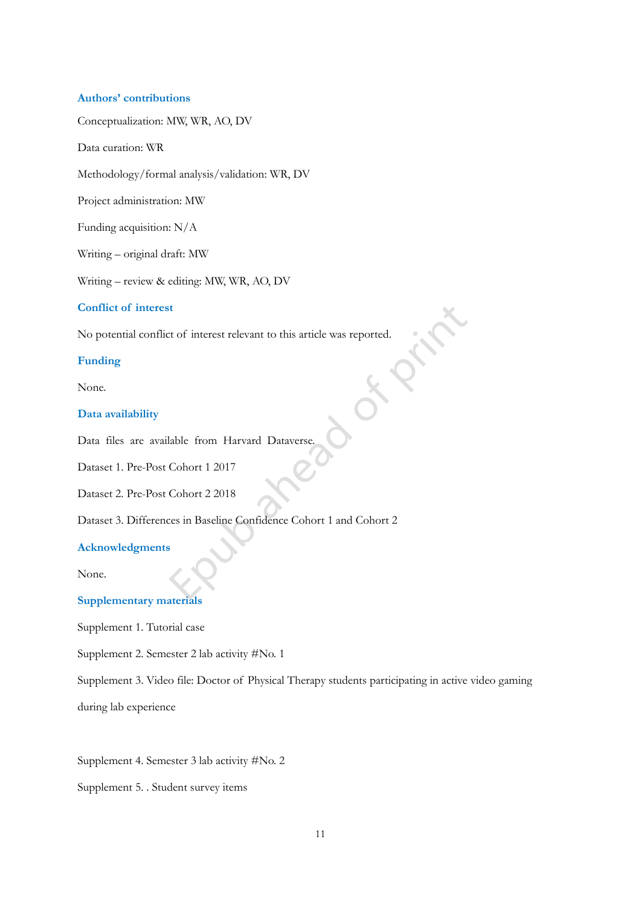## **Authors' contributions**

Conceptualization: MW, WR, AO, DV

Data curation: WR

Methodology/formal analysis/validation: WR, DV

Project administration: MW

Funding acquisition: N/A

Writing – original draft: MW

Writing – review & editing: MW, WR, AO, DV

### **Conflict of interest**

No potential conflict of interest relevant to this article was reported.

# **Funding**

None.

# **Data availability**

Data files are available from Harvard Dataverse.

Dataset 1. Pre-Post Cohort 1 2017

Dataset 2. Pre-Post Cohort 2 2018

Dataset 3. Differences in Baseline Confidence Cohort 1 and Cohort 2

# **Acknowledgments**

None.

#### **Supplementary materials**

Supplement 1. Tutorial case

Supplement 2. Semester 2 lab activity #No. 1

Supplement 3. Video file: Doctor of Physical Therapy students participating in active video gaming

during lab experience

Supplement 4. Semester 3 lab activity #No. 2

Supplement 5. . Student survey items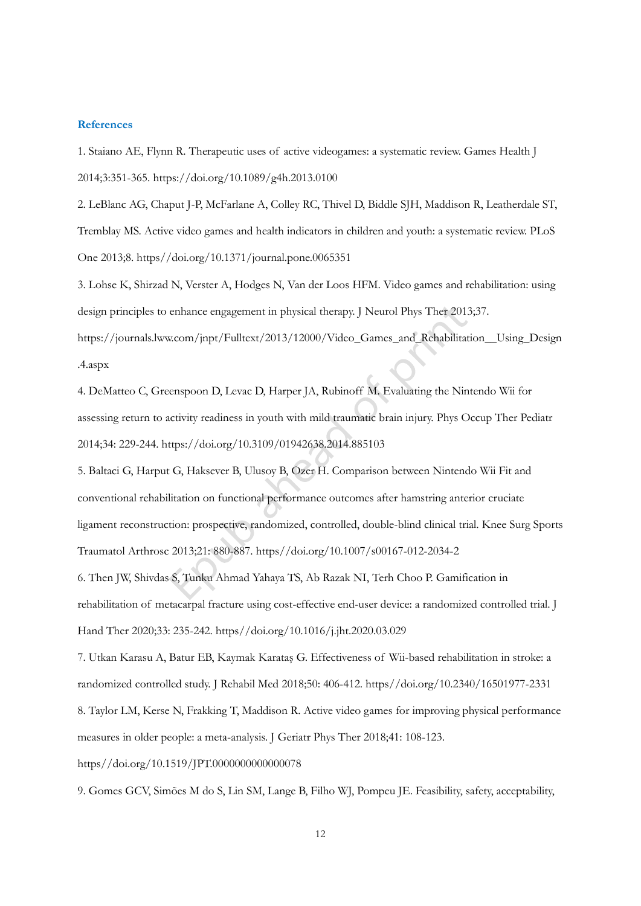# **References**

1. Staiano AE, Flynn R. Therapeutic uses of active videogames: a systematic review. Games Health J 2014;3:351-365. https://doi.org/10.1089/g4h.2013.0100

2. LeBlanc AG, Chaput J-P, McFarlane A, Colley RC, Thivel D, Biddle SJH, Maddison R, Leatherdale ST, Tremblay MS. Active video games and health indicators in children and youth: a systematic review. PLoS One 2013;8. https//doi.org/10.1371/journal.pone.0065351

3. Lohse K, Shirzad N, Verster A, Hodges N, Van der Loos HFM. Video games and rehabilitation: using design principles to enhance engagement in physical therapy. J Neurol Phys Ther 2013;37.

https://journals.lww.com/jnpt/Fulltext/2013/12000/Video\_Games\_and\_Rehabilitation\_\_Using\_Design .4.aspx

4. DeMatteo C, Greenspoon D, Levac D, Harper JA, Rubinoff M. Evaluating the Nintendo Wii for assessing return to activity readiness in youth with mild traumatic brain injury. Phys Occup Ther Pediatr 2014;34: 229-244. https://doi.org/10.3109/01942638.2014.885103

5. Baltaci G, Harput G, Haksever B, Ulusoy B, Ozer H. Comparison between Nintendo Wii Fit and conventional rehabilitation on functional performance outcomes after hamstring anterior cruciate ligament reconstruction: prospective, randomized, controlled, double-blind clinical trial. Knee Surg Sports Traumatol Arthrosc 2013;21: 880-887. https//doi.org/10.1007/s00167-012-2034-2

6. Then JW, Shivdas S, Tunku Ahmad Yahaya TS, Ab Razak NI, Terh Choo P. Gamification in rehabilitation of metacarpal fracture using cost-effective end-user device: a randomized controlled trial. J Hand Ther 2020;33: 235-242. https//doi.org/10.1016/j.jht.2020.03.029

7. Utkan Karasu A, Batur EB, Kaymak Karataş G. Effectiveness of Wii-based rehabilitation in stroke: a randomized controlled study. J Rehabil Med 2018;50: 406-412. https//doi.org/10.2340/16501977-2331

8. Taylor LM, Kerse N, Frakking T, Maddison R. Active video games for improving physical performance measures in older people: a meta-analysis. J Geriatr Phys Ther 2018;41: 108-123.

# https//doi.org/10.1519/JPT.0000000000000078

9. Gomes GCV, Simões M do S, Lin SM, Lange B, Filho WJ, Pompeu JE. Feasibility, safety, acceptability,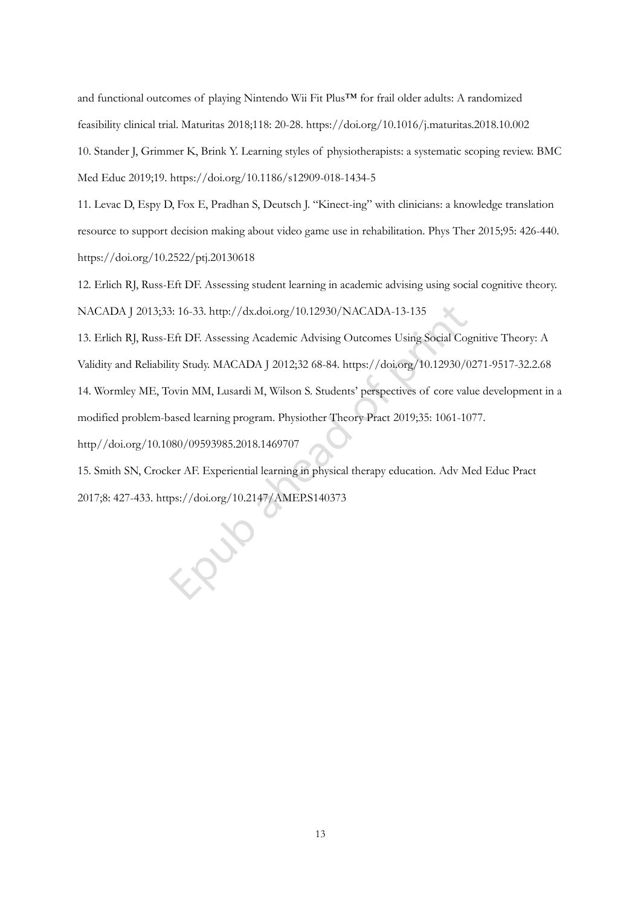and functional outcomes of playing Nintendo Wii Fit Plus™ for frail older adults: A randomized feasibility clinical trial. Maturitas 2018;118: 20-28. https://doi.org/10.1016/j.maturitas.2018.10.002 10. Stander J, Grimmer K, Brink Y. Learning styles of physiotherapists: a systematic scoping review. BMC Med Educ 2019;19. https://doi.org/10.1186/s12909-018-1434-5

11. Levac D, Espy D, Fox E, Pradhan S, Deutsch J. "Kinect-ing" with clinicians: a knowledge translation resource to support decision making about video game use in rehabilitation. Phys Ther 2015;95: 426-440. https://doi.org/10.2522/ptj.20130618

12. Erlich RJ, Russ-Eft DF. Assessing student learning in academic advising using social cognitive theory. NACADA J 2013;33: 16-33. http://dx.doi.org/10.12930/NACADA-13-135

13. Erlich RJ, Russ-Eft DF. Assessing Academic Advising Outcomes Using Social Cognitive Theory: A Validity and Reliability Study. MACADA J 2012;32 68-84. https://doi.org/10.12930/0271-9517-32.2.68 14. Wormley ME, Tovin MM, Lusardi M, Wilson S. Students' perspectives of core value development in a modified problem-based learning program. Physiother Theory Pract 2019;35: 1061-1077. http//doi.org/10.1080/09593985.2018.1469707

15. Smith SN, Crocker AF. Experiential learning in physical therapy education. Adv Med Educ Pract 2017;8: 427-433. https://doi.org/10.2147/AMEP.S140373

iQV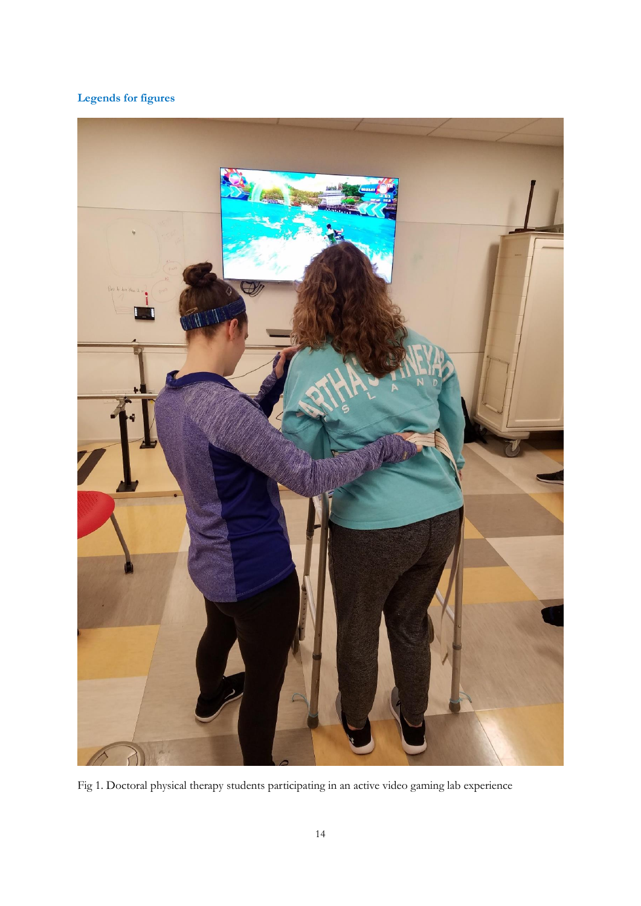# **Legends for figures**



Fig 1. Doctoral physical therapy students participating in an active video gaming lab experience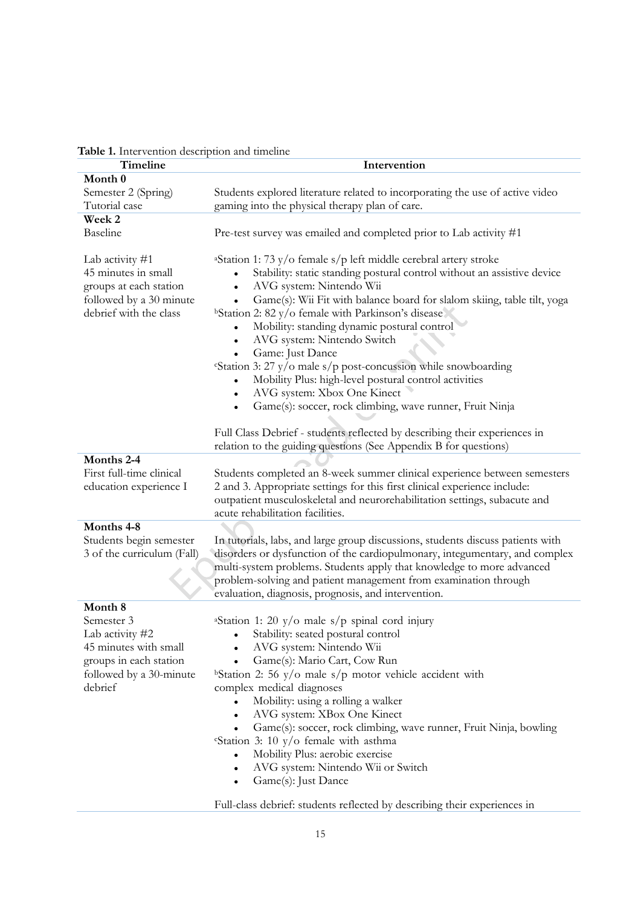| Timeline                                      | Intervention                                                                                                     |
|-----------------------------------------------|------------------------------------------------------------------------------------------------------------------|
| Month 0                                       |                                                                                                                  |
| Semester 2 (Spring)                           | Students explored literature related to incorporating the use of active video                                    |
| Tutorial case                                 | gaming into the physical therapy plan of care.                                                                   |
| Week 2                                        |                                                                                                                  |
| Baseline                                      | Pre-test survey was emailed and completed prior to Lab activity #1                                               |
| Lab activity #1                               | <sup>a</sup> Station 1: 73 y/o female s/p left middle cerebral artery stroke                                     |
| 45 minutes in small<br>groups at each station | Stability: static standing postural control without an assistive device<br>AVG system: Nintendo Wii<br>$\bullet$ |
| followed by a 30 minute                       | Game(s): Wii Fit with balance board for slalom skiing, table tilt, yoga<br>$\bullet$                             |
| debrief with the class                        | <sup>b</sup> Station 2: 82 y/o female with Parkinson's disease                                                   |
|                                               | Mobility: standing dynamic postural control                                                                      |
|                                               | AVG system: Nintendo Switch<br>$\bullet$                                                                         |
|                                               | Game: Just Dance<br>$\bullet$                                                                                    |
|                                               | "Station 3: 27 $y$ /o male s/p post-concussion while snowboarding                                                |
|                                               | Mobility Plus: high-level postural control activities                                                            |
|                                               | AVG system: Xbox One Kinect<br>$\bullet$                                                                         |
|                                               | Game(s): soccer, rock climbing, wave runner, Fruit Ninja                                                         |
|                                               |                                                                                                                  |
|                                               | Full Class Debrief - students reflected by describing their experiences in                                       |
|                                               | relation to the guiding questions (See Appendix B for questions)                                                 |
| Months 2-4                                    |                                                                                                                  |
| First full-time clinical                      | Students completed an 8-week summer clinical experience between semesters                                        |
|                                               | 2 and 3. Appropriate settings for this first clinical experience include:                                        |
| education experience I                        |                                                                                                                  |
|                                               | outpatient musculoskeletal and neurorehabilitation settings, subacute and                                        |
|                                               | acute rehabilitation facilities.                                                                                 |
| Months 4-8                                    |                                                                                                                  |
| Students begin semester                       | In tutorials, labs, and large group discussions, students discuss patients with                                  |
| 3 of the curriculum (Fall)                    | disorders or dysfunction of the cardiopulmonary, integumentary, and complex                                      |
|                                               | multi-system problems. Students apply that knowledge to more advanced                                            |
|                                               | problem-solving and patient management from examination through                                                  |
|                                               | evaluation, diagnosis, prognosis, and intervention.                                                              |
| Month 8                                       |                                                                                                                  |
| Semester 3                                    | <sup>a</sup> Station 1: 20 y/o male s/p spinal cord injury                                                       |
| Lab activity #2                               | Stability: seated postural control                                                                               |
| 45 minutes with small                         | AVG system: Nintendo Wii                                                                                         |
| groups in each station                        | Game(s): Mario Cart, Cow Run                                                                                     |
| followed by a 30-minute                       | <sup>b</sup> Station 2: 56 y/o male s/p motor vehicle accident with                                              |
| debrief                                       | complex medical diagnoses                                                                                        |
|                                               | Mobility: using a rolling a walker<br>$\bullet$                                                                  |
|                                               | AVG system: XBox One Kinect<br>$\bullet$                                                                         |
|                                               | Game(s): soccer, rock climbing, wave runner, Fruit Ninja, bowling<br>$\bullet$                                   |
|                                               | "Station 3: 10 y/o female with asthma                                                                            |
|                                               | Mobility Plus: aerobic exercise<br>$\bullet$                                                                     |
|                                               | AVG system: Nintendo Wii or Switch                                                                               |
|                                               | Game(s): Just Dance                                                                                              |
|                                               |                                                                                                                  |

|  | Table 1. Intervention description and timeline |  |  |  |
|--|------------------------------------------------|--|--|--|
|--|------------------------------------------------|--|--|--|

Full-class debrief: students reflected by describing their experiences in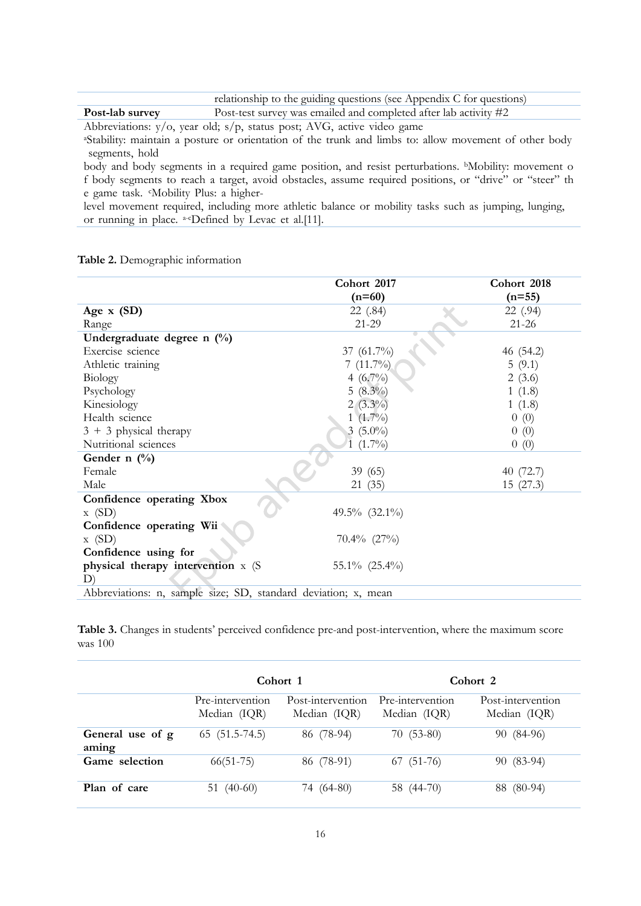|                 | relationship to the guiding questions (see Appendix C for questions) |
|-----------------|----------------------------------------------------------------------|
| Post-lab survey | Post-test survey was emailed and completed after lab activity $\#2$  |

Abbreviations: y/o, year old; s/p, status post; AVG, active video game

<sup>a</sup>Stability: maintain a posture or orientation of the trunk and limbs to: allow movement of other body segments, hold

body and body segments in a required game position, and resist perturbations. <sup>b</sup>Mobility: movement o f body segments to reach a target, avoid obstacles, assume required positions, or "drive" or "steer" th e game task. <sup>c</sup>Mobility Plus: a higher-

level movement required, including more athletic balance or mobility tasks such as jumping, lunging, or running in place. a-cDefined by Levac et al.[11].

**Table 2.** Demographic information

|                                                                | Cohort 2017       | Cohort 2018 |  |  |
|----------------------------------------------------------------|-------------------|-------------|--|--|
|                                                                | $(n=60)$          | $(n=55)$    |  |  |
| Age $x(SD)$                                                    | 22 (.84)          | 22 (.94)    |  |  |
| Range                                                          | 21-29             | $21 - 26$   |  |  |
| Undergraduate degree n (%)                                     |                   |             |  |  |
| Exercise science                                               | 37 (61.7%)        | 46 (54.2)   |  |  |
| Athletic training                                              | 7 $(11.7\%)$      | 5(9.1)      |  |  |
| Biology                                                        | 4 $(6.7\%)$       | 2(3.6)      |  |  |
| Psychology                                                     | $5(8.3\%)$        | 1(1.8)      |  |  |
| Kinesiology                                                    | $2(3.3\%)$        | 1(1.8)      |  |  |
| Health science                                                 | 1 $(1.7\%)$       | 0(0)        |  |  |
| $3 + 3$ physical therapy                                       | $3(5.0\%)$        | 0(0)        |  |  |
| Nutritional sciences                                           | $(1.7\%)$         | 0(0)        |  |  |
| Gender n $(\%)$                                                |                   |             |  |  |
| Female                                                         | 39(65)            | 40 (72.7)   |  |  |
| Male                                                           | 21(35)            | 15(27.3)    |  |  |
| Confidence operating Xbox                                      |                   |             |  |  |
| x(SD)                                                          | 49.5% $(32.1\%)$  |             |  |  |
| Confidence operating Wii                                       |                   |             |  |  |
| x(SD)                                                          | $70.4\%$ $(27\%)$ |             |  |  |
| Confidence using for                                           |                   |             |  |  |
| physical therapy intervention x (S                             | 55.1% (25.4%)     |             |  |  |
| D)                                                             |                   |             |  |  |
| Abbreviations: n, sample size; SD, standard deviation; x, mean |                   |             |  |  |

**Table 3.** Changes in students' perceived confidence pre-and post-intervention, where the maximum score was 100

|                           | Cohort 1                         |                                   | Cohort 2                         |                                   |
|---------------------------|----------------------------------|-----------------------------------|----------------------------------|-----------------------------------|
|                           | Pre-intervention<br>Median (IQR) | Post-intervention<br>Median (IQR) | Pre-intervention<br>Median (IQR) | Post-intervention<br>Median (IQR) |
| General use of g<br>aming | $65(51.5-74.5)$                  | 86 (78-94)                        | $70(53-80)$                      | 90 (84-96)                        |
| Game selection            | $66(51-75)$                      | 86 (78-91)                        | $67(51-76)$                      | 90 (83-94)                        |
| Plan of care              | 51 $(40-60)$                     | 74 (64-80)                        | 58 (44-70)                       | 88 (80-94)                        |